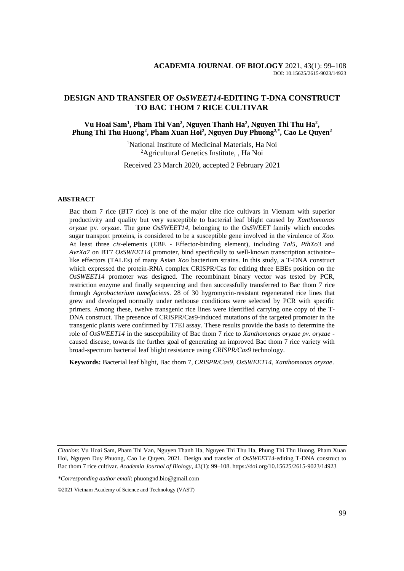# **DESIGN AND TRANSFER OF** *OsSWEET14***-EDITING T-DNA CONSTRUCT TO BAC THOM 7 RICE CULTIVAR**

### **Vu Hoai Sam<sup>1</sup> , Pham Thi Van<sup>2</sup> , Nguyen Thanh Ha<sup>2</sup> , Nguyen Thi Thu Ha<sup>2</sup> , Phung Thi Thu Huong<sup>2</sup> , Pham Xuan Hoi<sup>2</sup> , Nguyen Duy Phuong2,\* , Cao Le Quyen<sup>2</sup>**

<sup>1</sup>National Institute of Medicinal Materials, Ha Noi <sup>2</sup>Agricultural Genetics Institute, , Ha Noi

Received 23 March 2020, accepted 2 February 2021

#### **ABSTRACT**

Bac thom 7 rice (BT7 rice) is one of the major elite rice cultivars in Vietnam with superior productivity and quality but very susceptible to bacterial leaf blight caused by *Xanthomonas oryzae* pv. *oryzae*. The gene *OsSWEET14,* belonging to the *OsSWEET* family which encodes sugar transport proteins, is considered to be a susceptible gene involved in the virulence of *Xoo*. At least three *cis*-elements (EBE - Effector-binding element), including *Tal5*, *PthXo3* and *AvrXa7* on BT7 *OsSWEET14* promoter, bind specifically to well-known transcription activator– like effectors (TALEs) of many Asian *Xoo* bacterium strains. In this study, a T-DNA construct which expressed the protein-RNA complex CRISPR/Cas for editing three EBEs position on the *OsSWEET14* promoter was designed. The recombinant binary vector was tested by PCR, restriction enzyme and finally sequencing and then successfully transferred to Bac thom 7 rice through *Agrobacterium tumefaciens*. 28 of 30 hygromycin-resistant regenerated rice lines that grew and developed normally under nethouse conditions were selected by PCR with specific primers. Among these, twelve transgenic rice lines were identified carrying one copy of the T-DNA construct. The presence of CRISPR/Cas9-induced mutations of the targeted promoter in the transgenic plants were confirmed by T7EI assay. These results provide the basis to determine the role of *OsSWEET14* in the susceptibility of Bac thom 7 rice to *Xanthomonas oryzae pv. oryzae* caused disease, towards the further goal of generating an improved Bac thom 7 rice variety with broad-spectrum bacterial leaf blight resistance using *CRISPR/Cas9* technology.

**Keywords:** Bacterial leaf blight, Bac thom 7*, CRISPR/Cas9, OsSWEET14, Xanthomonas oryzae*.

*Citation*: Vu Hoai Sam, Pham Thi Van, Nguyen Thanh Ha, Nguyen Thi Thu Ha, Phung Thi Thu Huong, Pham Xuan Hoi, Nguyen Duy Phuong, Cao Le Quyen, 2021. Design and transfer of *OsSWEET14*-editing T-DNA construct to Bac thom 7 rice cultivar. *Academia Journal of Biology*, 43(1): 99–108[. https://doi.org/1](https://doi.org/)0.15625/2615-9023/14923

*<sup>\*</sup>Corresponding author email*: phuongnd.bio@gmail.com

<sup>©2021</sup> Vietnam Academy of Science and Technology (VAST)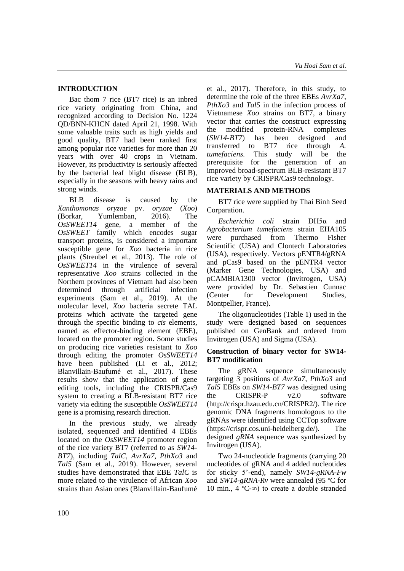# **INTRODUCTION**

Bac thom 7 rice (BT7 rice) is an inbred rice variety originating from China, and recognized according to Decision No. 1224 QD/BNN-KHCN dated April 21, 1998. With some valuable traits such as high yields and good quality, BT7 had been ranked first among popular rice varieties for more than 20 years with over 40 crops in Vietnam. However, its productivity is seriously affected by the bacterial leaf blight disease (BLB), especially in the seasons with heavy rains and strong winds.

BLB disease is caused by the *Xanthomonas oryzae* pv. *oryzae* (*Xoo*) (Borkar, Yumlemban, 2016). The *OsSWEET14* gene, a member of the *OsSWEET* family which encodes sugar transport proteins, is considered a important susceptible gene for *Xoo* bacteria in rice plants (Streubel et al., 2013). The role of *OsSWEET14* in the virulence of several representative *Xoo* strains collected in the Northern provinces of Vietnam had also been determined through artificial infection experiments (Sam et al., 2019). At the molecular level, *Xoo* bacteria secrete TAL proteins which activate the targeted gene through the specific binding to *cis* elements, named as effector-binding element (EBE), located on the promoter region. Some studies on producing rice varieties resistant to *Xoo* through editing the promoter *OsSWEET14* have been published (Li et al., 2012; Blanvillain-Baufumé et al., 2017). These results show that the application of gene editing tools, including the CRISPR/Cas9 system to creating a BLB-resistant BT7 rice variety via editing the susceptible *OsSWEET14* gene is a promising research direction.

In the previous study, we already isolated, sequenced and identified 4 EBEs located on the *OsSWEET14* promoter region of the rice variety BT7 (referred to as *SW14- BT7*), including *TalC, AvrXa7, PthXo3* and *Tal5* (Sam et al., 2019). However, several studies have demonstrated that EBE *TalC* is more related to the virulence of African *Xoo* strains than Asian ones (Blanvillain-Baufumé et al., 2017). Therefore, in this study, to determine the role of the three EBEs *AvrXa7*, *PthXo3* and *Tal5* in the infection process of Vietnamese *Xoo* strains on BT7, a binary vector that carries the construct expressing the modified protein-RNA complexes (*SW14-BT7*) has been designed and transferred to BT7 rice through *A. tumefaciens.* This study will be the prerequisite for the generation of an improved broad-spectrum BLB-resistant BT7 rice variety by CRISPR/Cas9 technology.

# **MATERIALS AND METHODS**

BT7 rice were supplied by Thai Binh Seed Corparation.

*Escherichia coli* strain DH5α and *Agrobacterium tumefaciens* strain EHA105 were purchased from Thermo Fisher Scientific (USA) and Clontech Laboratories (USA), respectively. Vectors pENTR4/gRNA and pCas9 based on the pENTR4 vector (Marker Gene Technologies, USA) and pCAMBIA1300 vector (Invitrogen, USA) were provided by Dr. Sebastien Cunnac (Center for Development Studies, Montpellier, France).

The oligonucleotides (Table 1) used in the study were designed based on sequences published on GenBank and ordered from Invitrogen (USA) and Sigma (USA).

### **Construction of binary vector for SW14- BT7 modification**

The gRNA sequence simultaneously targeting 3 positions of *AvrXa7*, *PthXo3* and *Tal5* EBEs on *SW14-BT7* was designed using the CRISPR-P v2.0 software (http://crispr.hzau.edu.cn/CRISPR2/). The rice genomic DNA fragments homologous to the gRNAs were identified using CCTop software (https://crispr.cos.uni-heidelberg.de/). The designed *gRNA* sequence was synthesized by Invitrogen (USA).

Two 24-nucleotide fragments (carrying 20 nucleotides of gRNA and 4 added nucleotides for sticky 5'-end), namely *SW14-gRNA-Fw* and *SW14-gRNA-Rv* were annealed (95 °C for 10 min., 4  $\degree$ C-∞) to create a double stranded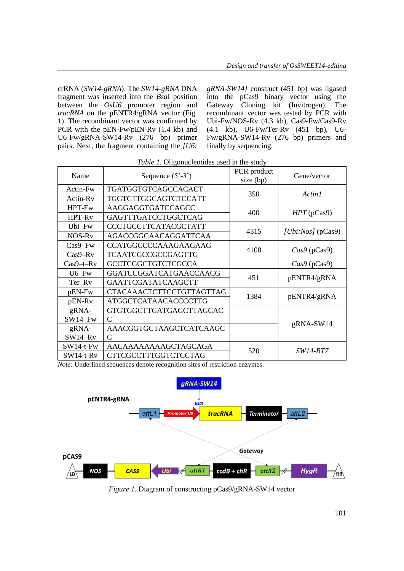crRNA (*SW14-gRNA*). The *SW14-gRNA* DNA fragment was inserted into the *Bsa*I position between the *OsU6* promoter region and *tracRNA* on the pENTR4/gRNA vector (Fig. 1). The recombinant vector was confirmed by PCR with the pEN-Fw/pEN-Rv (1.4 kb) and U6-Fw/gRNA-SW14-Rv (276 bp) primer pairs. Next, the fragment containing the *[U6:* 

*gRNA-SW14]* construct (451 bp) was ligased into the pCas9 binary vector using the Gateway Cloning kit (Invitrogen). The recombinant vector was tested by PCR with Ubi-Fw/NOS-Rv (4.3 kb), Cas9-Fw/Cas9-Rv (4.1 kb), U6-Fw/Ter-Rv (451 bp), U6- Fw/gRNA-SW14-Rv (276 bp) primers and finally by sequencing.

| Name               | Sequence $(5^{\degree}\text{-}3^{\degree})$ | PCR product | Gene/vector                    |  |
|--------------------|---------------------------------------------|-------------|--------------------------------|--|
|                    |                                             | size (bp)   |                                |  |
| Actin-Fw           | <b>TGATGGTGTCAGCCACACT</b>                  | 350         | Actin1                         |  |
| Actin-Ry           | TGGTCTTGGCAGTCTCCATT                        |             |                                |  |
| HPT-Fw             | AAGGAGGTGATCCAGCC                           | 400         | $HPT$ (pCas9)                  |  |
| HPT-R <sub>v</sub> | GAGTTTGATCCTGGCTCAG                         |             |                                |  |
| Ubi-Fw             | CCCTGCCTTCATACGCTATT                        | 4315        |                                |  |
| NOS-R <sub>v</sub> | AGACCGGCAACAGGATTCAA                        |             | [ <i>Ubi:Nos</i> ] ( $pCas9$ ) |  |
| $Cas9-Fw$          | <b>CCATGGCCCCAAAGAAGAAG</b>                 |             |                                |  |
| $Cas9-Rv$          | <b>TCAATCGCCGCCGAGTTG</b>                   | 4108        | $Cas9$ (pCas9)                 |  |
| $Cas9-t-Rv$        | <b>GCCTCGGCTGTCTCGCCA</b>                   |             | $Cas9$ (pCas9)                 |  |
| $U6-Fw$            | <b>GGATCCGGATCATGAACCAACG</b>               | 451         | pENTR4/gRNA                    |  |
| Ter-Ry             | <b>GAATTCGATATCAAGCTT</b>                   |             |                                |  |
| pEN-Fw             | <b>CTACAAACTCTTCCTGTTAGTTAG</b>             | 1384        | pENTR4/gRNA                    |  |
| pEN-Rv             | <b>ATGGCTCATAACACCCCTTG</b>                 |             |                                |  |
| gRNA-              | GTGTGGCTTGATGAGCTTAGCAC                     |             |                                |  |
| $SW14-Fw$          | C                                           |             | $gRNA-SW14$                    |  |
| gRNA-              | AAACGGTGCTAAGCTCATCAAGC                     |             |                                |  |
| $SW14-Rv$          | $\mathcal{C}$                               |             |                                |  |
| $SW14$ -t- $Fw$    | AACAAAAAAAAGCTAGCAGA                        | 520         | <i>SW14-BT7</i>                |  |
| $SW14-t-Rv$        | <b>CTTCGCCTTTGGTCTCCTAG</b>                 |             |                                |  |

*Table 1.* Oligonucleotides used in the study

*Note:* Underlined sequences denote recognition sites of restriction enzymes.



*Figure 1.* Diagram of constructing pCas9/gRNA-SW14 vector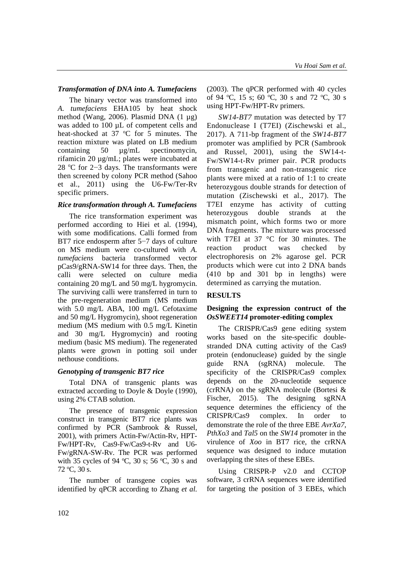# *Transformation of DNA into A. Tumefaciens*

The binary vector was transformed into *A. tumefaciens* EHA105 by heat shock method (Wang, 2006). Plasmid DNA (1 µg) was added to 100  $\mu$ L of competent cells and heat-shocked at  $37$  °C for 5 minutes. The reaction mixture was plated on LB medium containing 50 µg/mL spectinomycin, rifamicin 20 µg/mL; plates were incubated at 28 °C for 2−3 days. The transformants were then screened by colony PCR method (Sahoo et al., 2011) using the U6-Fw/Ter-Rv specific primers.

### *Rice transformation through A. Tumefaciens*

The rice transformation experiment was performed according to Hiei et al. (1994), with some modifications. Calli formed from BT7 rice endosperm after 5−7 days of culture on MS medium were co-cultured with *A. tumefaciens* bacteria transformed vector pCas9/gRNA-SW14 for three days. Then, the calli were selected on culture media containing 20 mg/L and 50 mg/L hygromycin. The surviving calli were transferred in turn to the pre-regeneration medium (MS medium with 5.0 mg/L ABA, 100 mg/L Cefotaxime and 50 mg/L Hygromycin), shoot regeneration medium (MS medium with 0.5 mg/L Kinetin and 30 mg/L Hygromycin) and rooting medium (basic MS medium). The regenerated plants were grown in potting soil under nethouse conditions.

# *Genotyping of transgenic BT7 rice*

Total DNA of transgenic plants was extracted according to Doyle & Doyle (1990), using 2% CTAB solution.

The presence of transgenic expression construct in transgenic BT7 rice plants was confirmed by PCR (Sambrook & Russel, 2001), with primers Actin-Fw/Actin-Rv, HPT-Fw/HPT-Rv, Cas9-Fw/Cas9-t-Rv and U6- Fw/gRNA-SW-Rv. The PCR was performed with 35 cycles of 94  $\degree$ C, 30 s; 56  $\degree$ C, 30 s and  $72 \text{ °C}, 30 \text{ s}.$ 

The number of transgene copies was identified by qPCR according to Zhang *et al.*

(2003). The qPCR performed with 40 cycles of 94 °C, 15 s; 60 °C, 30 s and 72 °C, 30 s using HPT-Fw/HPT-Rv primers.

*SW14-BT7* mutation was detected by T7 Endonuclease I (T7EI) (Zischewski et al., 2017). A 711-bp fragment of the *SW14-BT7* promoter was amplified by PCR (Sambrook and Russel, 2001), using the SW14-t-Fw/SW14-t-Rv primer pair. PCR products from transgenic and non-transgenic rice plants were mixed at a ratio of 1:1 to create heterozygous double strands for detection of mutation (Zischewski et al., 2017). The T7EI enzyme has activity of cutting heterozygous double strands at the mismatch point, which forms two or more DNA fragments. The mixture was processed with T7EI at 37 °C for 30 minutes. The reaction product was checked by electrophoresis on 2% agarose gel. PCR products which were cut into 2 DNA bands (410 bp and 301 bp in lengths) were determined as carrying the mutation.

# **RESULTS**

# **Designing the expression contruct of the** *OsSWEET14* **promoter-editing complex**

The CRISPR/Cas9 gene editing system works based on the site-specific doublestranded DNA cutting activity of the Cas9 protein (endonuclease) guided by the single guide RNA (sgRNA) molecule. The specificity of the CRISPR/Cas9 complex depends on the 20-nucleotide sequence (crRNA*)* on the sgRNA molecule (Bortesi & Fischer, 2015). The designing sgRNA sequence determines the efficiency of the CRISPR/Cas9 complex. In order to demonstrate the role of the three EBE *AvrXa7*, *PthXo3* and *Tal5* on the *SW14* promoter in the virulence of *Xoo* in BT7 rice, the crRNA sequence was designed to induce mutation overlapping the sites of these EBEs.

Using CRISPR-P v2.0 and CCTOP software, 3 crRNA sequences were identified for targeting the position of 3 EBEs, which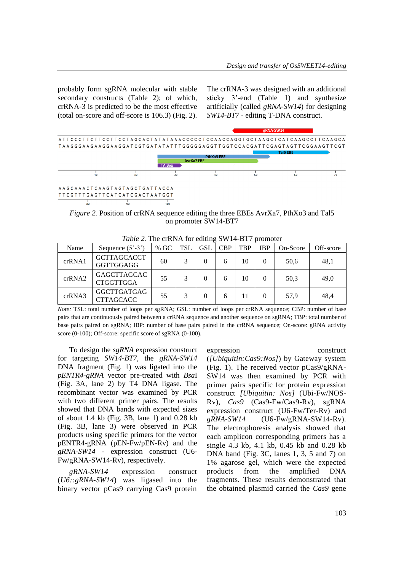probably form sgRNA molecular with stable secondary constructs (Table 2); of which, crRNA-3 is predicted to be the most effective (total on-score and off-score is 106.3) (Fig. 2). The crRNA-3 was designed with an additional sticky 3'-end (Table 1) and synthesize artificially (called *gRNA-SW14*) for designing *SW14-BT7* - editing T-DNA construct.



*Figure* 2. Position of crRNA sequence editing the three EBEs AvrXa7, PthXo3 and Tal5 on promoter SW14-BT7

| Name   | Sequence $(5^{\degree} - 3^{\degree})$ | $%$ GC | <b>TSL</b> | <b>GSL</b> | <b>CBP</b> | <b>TBP</b> | <b>IBP</b> | On-Score | Off-score |
|--------|----------------------------------------|--------|------------|------------|------------|------------|------------|----------|-----------|
| crRNA1 | <b>GCTTAGCACCT</b><br>GGTTGGAGG        | 60     |            | 0          | 6          | 10         | $\Omega$   | 50.6     | 48,1      |
| crRNA2 | GAGCTTAGCAC<br><b>CTGGTTGGA</b>        | 55     |            | 0          | 6          | 10         | $\Omega$   | 50.3     | 49,0      |
| crRNA3 | <b>GGCTTGATGAG</b><br><b>CTTAGCACC</b> | 55     |            | 0          | 6          |            |            | 57.9     | 48,4      |

*Table 2.* The crRNA for editing SW14-BT7 promoter

*Note:* TSL: total number of loops per sgRNA; GSL: number of loops per crRNA sequence; CBP: number of base pairs that are continuously paired between a crRNA sequence and another sequence on sgRNA; TBP: total number of base pairs paired on sgRNA; IBP: number of base pairs paired in the crRNA sequence; On-score: gRNA activity score (0-100); Off-score: specific score of sgRNA (0-100).

To design the *sgRNA* expression construct for targeting *SW14-BT7*, the *gRNA-SW14* DNA fragment (Fig. 1) was ligated into the *pENTR4-gRNA* vector pre-treated with *Bsa*I (Fig. 3A, lane 2) by T4 DNA ligase. The recombinant vector was examined by PCR with two different primer pairs. The results showed that DNA bands with expected sizes of about 1.4 kb (Fig. 3B, lane 1) and 0.28 kb (Fig. 3B, lane 3) were observed in PCR products using specific primers for the vector pENTR4-gRNA (pEN-Fw/pEN-Rv) and the *gRNA-SW14* - expression construct (U6- Fw/gRNA-SW14-Rv), respectively.

*gRNA-SW14* expression construct (*U6::gRNA-SW14*) was ligased into the binary vector pCas9 carrying Cas9 protein expression construct (*[Ubiquitin:Cas9:Nos]*) by Gateway system (Fig. 1). The received vector pCas9/gRNA-SW14 was then examined by PCR with primer pairs specific for protein expression construct *[Ubiquitin: Nos]* (Ubi-Fw/NOS-Rv), *Cas9* (Cas9-Fw/Cas9-Rv), sgRNA expression construct (U6-Fw/Ter-Rv) and *gRNA-SW14* (U6-Fw/gRNA-SW14-Rv). The electrophoresis analysis showed that each amplicon corresponding primers has a single 4.3 kb, 4.1 kb, 0.45 kb and 0.28 kb DNA band (Fig. 3C, lanes 1, 3, 5 and 7) on 1% agarose gel, which were the expected products from the amplified DNA fragments. These results demonstrated that the obtained plasmid carried the *Cas9* gene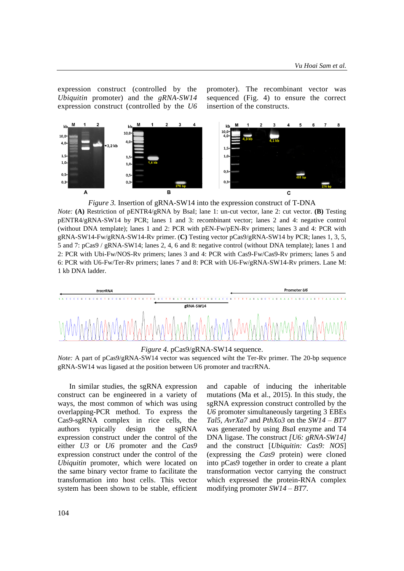expression construct (controlled by the *Ubiquitin* promoter) and the *gRNA-SW14* expression construct (controlled by the *U6*

promoter). The recombinant vector was sequenced (Fig. 4) to ensure the correct insertion of the constructs.



*Figure 3.* Insertion of gRNA-SW14 into the expression construct of T-DNA

*Note:* **(A)** Restriction of pENTR4/gRNA by BsaI; lane 1: un-cut vector, lane 2: cut vector. **(B)** Testing pENTR4/gRNA-SW14 by PCR; lanes 1 and 3: recombinant vector; lanes 2 and 4: negative control (without DNA template); lanes 1 and 2: PCR with pEN-Fw/pEN-Rv primers; lanes 3 and 4: PCR with gRNA-SW14-Fw/gRNA-SW14-Rv primer. (**C)** Testing vector pCas9/gRNA-SW14 by PCR; lanes 1, 3, 5, 5 and 7: pCas9 / gRNA-SW14; lanes 2, 4, 6 and 8: negative control (without DNA template); lanes 1 and 2: PCR with Ubi-Fw/NOS-Rv primers; lanes 3 and 4: PCR with Cas9-Fw/Cas9-Rv primers; lanes 5 and 6: PCR with U6-Fw/Ter-Rv primers; lanes 7 and 8: PCR with U6-Fw/gRNA-SW14-Rv primers. Lane M: 1 kb DNA ladder.





*Note:* A part of pCas9/gRNA-SW14 vector was sequenced wiht the Ter-Rv primer. The 20-bp sequence gRNA-SW14 was ligased at the position between U6 promoter and tracrRNA.

In similar studies, the sgRNA expression construct can be engineered in a variety of ways, the most common of which was using overlapping-PCR method. To express the Cas9-sgRNA complex in rice cells, the authors typically design the sgRNA expression construct under the control of the either *U3* or *U6* promoter and the *Cas9* expression construct under the control of the *Ubiquitin* promoter, which were located on the same binary vector frame to facilitate the transformation into host cells. This vector system has been shown to be stable, efficient

and capable of inducing the inheritable mutations (Ma et al., 2015). In this study, the sgRNA expression construct controlled by the *U6* promoter simultaneously targeting 3 EBEs *Tal5*, *AvrXa7* and *PthXo3* on the *SW14* – *BT7* was generated by using *Bsa*I enzyme and T4 DNA ligase. The construct *[U6: gRNA-SW14]* and the construct [*Ubiquitin: Cas9: NOS*] (expressing the *Cas9* protein) were cloned into pCas9 together in order to create a plant transformation vector carrying the construct which expressed the protein-RNA complex modifying promoter *SW14 – BT7*.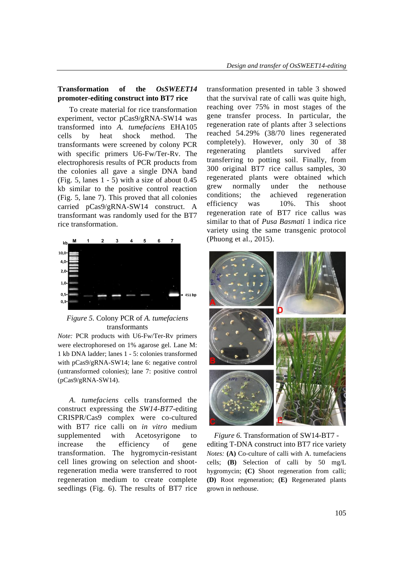# **Transformation of the** *OsSWEET14* **promoter-editing construct into BT7 rice**

To create material for rice transformation experiment, vector pCas9/gRNA-SW14 was transformed into *A. tumefaciens* EHA105 cells by heat shock method. The transformants were screened by colony PCR with specific primers U6-Fw/Ter-Rv. The electrophoresis results of PCR products from the colonies all gave a single DNA band (Fig. 5, lanes 1 - 5) with a size of about 0.45 kb similar to the positive control reaction (Fig. 5, lane 7). This proved that all colonies carried pCas9/gRNA-SW14 construct. A transformant was randomly used for the BT7 rice transformation.



### *Figure 5.* Colony PCR of *A. tumefaciens* transformants

*Note:* PCR products with U6-Fw/Ter-Rv primers were electrophoresed on 1% agarose gel. Lane M: 1 kb DNA ladder; lanes 1 - 5: colonies transformed with pCas9/gRNA-SW14; lane 6: negative control (untransformed colonies); lane 7: positive control (pCas9/gRNA-SW14).

*A. tumefaciens* cells transformed the construct expressing the *SW14-BT7*-editing CRISPR/Cas9 complex were co-cultured with BT7 rice calli on *in vitro* medium supplemented with Acetosyrigone to increase the efficiency of gene transformation. The hygromycin-resistant cell lines growing on selection and shootregeneration media were transferred to root regeneration medium to create complete seedlings (Fig. 6). The results of BT7 rice

transformation presented in table 3 showed that the survival rate of calli was quite high, reaching over 75% in most stages of the gene transfer process. In particular, the regeneration rate of plants after 3 selections reached 54.29% (38/70 lines regenerated completely). However, only 30 of 38 regenerating plantlets survived affer transferring to potting soil. Finally, from 300 original BT7 rice callus samples, 30 regenerated plants were obtained which grew normally under the nethouse conditions; the achieved regeneration efficiency was 10%. This shoot regeneration rate of BT7 rice callus was similar to that of *Pusa Basmati* 1 indica rice variety using the same transgenic protocol (Phuong et al., 2015).



*Figure 6.* Transformation of SW14-BT7 editing T-DNA construct into BT7 rice variety *Notes:* **(A)** Co-culture of calli with A. tumefaciens cells; **(B)** Selection of calli by 50 mg/L hygromycin; **(C)** Shoot regeneration from calli; **(D)** Root regeneration; **(E)** Regenerated plants grown in nethouse.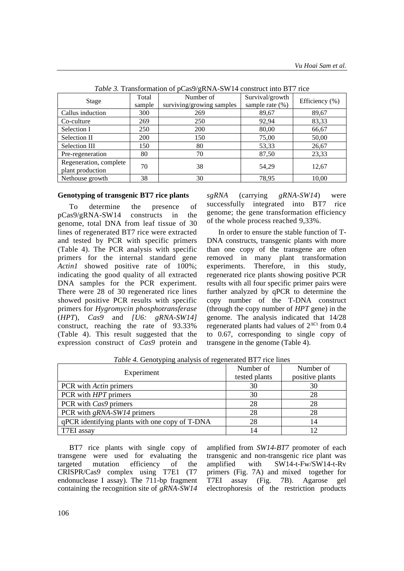| Stage                  | Total  | Number of                 | Survival/growth    | Efficiency (%) |  |
|------------------------|--------|---------------------------|--------------------|----------------|--|
|                        | sample | surviving/growing samples | sample rate $(\%)$ |                |  |
| Callus induction       | 300    | 269                       | 89,67              | 89,67          |  |
| Co-culture             | 269    | 250                       | 92,94              | 83,33          |  |
| Selection I            | 250    | 200                       | 80,00              | 66,67          |  |
| Selection II           | 200    | 150                       | 75,00              | 50,00          |  |
| Selection III          | 150    | 80                        | 53,33              | 26,67          |  |
| Pre-regeneration       | 80     | 70                        | 87,50              | 23,33          |  |
| Regeneration, complete | 70     | 38                        |                    |                |  |
| plant production       |        |                           | 54,29              | 12,67          |  |
| Nethouse growth        | 38     | 30                        | 78.95              | 10,00          |  |

*Table 3.* Transformation of pCas9/gRNA-SW14 construct into BT7 rice

#### **Genotyping of transgenic BT7 rice plants**

To determine the presence of pCas9/gRNA-SW14 constructs in the genome, total DNA from leaf tissue of 30 lines of regenerated BT7 rice were extracted and tested by PCR with specific primers (Table 4). The PCR analysis with specific primers for the internal standard gene *Actin1* showed positive rate of 100%; indicating the good quality of all extracted DNA samples for the PCR experiment. There were 28 of 30 regenerated rice lines showed positive PCR results with specific primers for *Hygromycin phosphotransferase* (*HPT*), *Cas9* and *[U6: gRNA-SW14]* construct, reaching the rate of 93.33% (Table 4). This result suggested that the expression construct of *Cas9* protein and *sgRNA* (carrying *gRNA-SW14*) were successfully integrated into BT7 rice genome; the gene transformation efficiency of the whole process reached 9,33%.

In order to ensure the stable function of T-DNA constructs, transgenic plants with more than one copy of the transgene are often removed in many plant transformation<br>experiments. Therefore, in this study, Therefore, in this study, regenerated rice plants showing positive PCR results with all four specific primer pairs were further analyzed by qPCR to determine the copy number of the T-DNA construct (through the copy number of *HPT* gene) in the genome. The analysis indicated that 14/28 regenerated plants had values of  $2^{\Delta Ct}$  from 0.4 to 0.67, corresponding to single copy of transgene in the genome (Table 4).

| Tuble 7. Octory plug and you be regenerated D I T fiee mics | Number of     | Number of       |  |
|-------------------------------------------------------------|---------------|-----------------|--|
| Experiment                                                  | tested plants | positive plants |  |
| PCR with <i>Actin</i> primers                               | 30            | 30              |  |
| PCR with <i>HPT</i> primers                                 | 30            | 28              |  |
| PCR with <i>Cas9</i> primers                                | 28            | 28              |  |
| PCR with <i>gRNA-SW14</i> primers                           | 28            | 28              |  |
| qPCR identifying plants with one copy of T-DNA              | 28            | 14              |  |
| T7EI assay                                                  | 14            |                 |  |

*Table 4.* Genotyping analysis of regenerated BT7 rice lines

BT7 rice plants with single copy of transgene were used for evaluating the targeted mutation efficiency of the CRISPR/Cas*9* complex using T7E1 (T7 endonuclease I assay). The 711-bp fragment containing the recognition site of *gRNA-SW14* amplified from *SW14-BT7* promoter of each transgenic and non-transgenic rice plant was amplified with SW14-t-Fw/SW14-t-Rv primers (Fig. 7A) and mixed together for T7EI assay (Fig. 7B). Agarose gel electrophoresis of the restriction products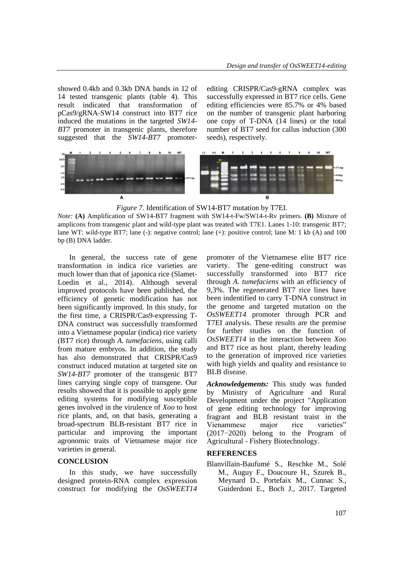showed 0.4kb and 0.3kb DNA bands in 12 of 14 tested transgenic plants (table 4). This result indicated that transformation of pCas9/gRNA-SW14 construct into BT7 rice induced the mutations in the targeted *SW14*- *BT7* promoter in transgenic plants, therefore suggested that the *SW14*-*BT7* promoterediting CRISPR/Cas9-gRNA complex was successfully expressed in BT7 rice cells. Gene editing efficiencies were 85.7% or 4% based on the number of transgenic plant harboring one copy of T-DNA (14 lines) or the total number of BT7 seed for callus induction (300 seeds), respectively.



*Figure 7.* Identification of SW14-BT7 mutation by T7EI.

*Note:* **(A)** Amplification of SW14-BT7 fragment with SW14-t-Fw/SW14-t-Rv primers. **(B)** Mixture of amplicons from transgenic plant and wild-type plant was treated with T7E1. Lanes 1-10: transgenic BT7; lane WT: wild-type BT7; lane  $(-)$ : negative control; lane  $(+)$ : positive control; lane M: 1 kb  $(A)$  and 100 bp (B) DNA ladder.

In general, the success rate of gene transformation in indica rice varieties are much lower than that of japonica rice (Slamet-Loedin et al., 2014). Although several improved protocols have been published, the efficiency of genetic modification has not been significantly improved. In this study, for the first time, a CRISPR/Cas9-expressing T-DNA construct was successfully transformed into a Vietnamese popular (indica) rice variety (BT7 rice) through *A. tumefaciens*, using calli from mature embryos. In addition, the study has also demonstrated that CRISPR/Cas9 construct induced mutation at targeted site on *SW14-BT7* promoter of the transgenic BT7 lines carrying single copy of transgene. Our results showed that it is possible to apply gene editing systems for modifying susceptible genes involved in the virulence of *Xoo* to host rice plants, and, on that basis, generating a broad-spectrum BLB-resistant BT7 rice in particular and improving the important agronomic traits of Vietnamese major rice varieties in general.

#### **CONCLUSION**

In this study, we have successfully designed protein-RNA complex expression construct for modifying the *OsSWEET14*

promoter of the Vietnamese elite BT7 rice variety. The gene-editing construct was successfully transformed into BT7 rice through *A. tumefaciens* with an efficiency of 9,3%. The regenerated BT7 rice lines have been indentified to carry T-DNA construct in the genome and targeted mutation on the *OsSWEET14* promoter through PCR and T7EI analysis. These results are the premise for further studies on the function of *OsSWEET14* in the interaction between *Xoo* and BT7 rice as host plant, thereby leading to the generation of improved rice varieties with high yields and quality and resistance to BLB disease.

*Acknowledgements:* This study was funded by Ministry of Agriculture and Rural Development under the project "Application of gene editing technology for improving fragrant and BLB resistant traist in the Vienammese major rice varieties" (2017−2020) belong to the Program of Agricultural - Fishery Biotechnology.

### **REFERENCES**

Blanvillain-Baufumé S., Reschke M., Solé M., Auguy F., Doucoure H., Szurek B., Meynard D., Portefaix M., Cunnac S., Guiderdoni E., Boch J., 2017. Targeted